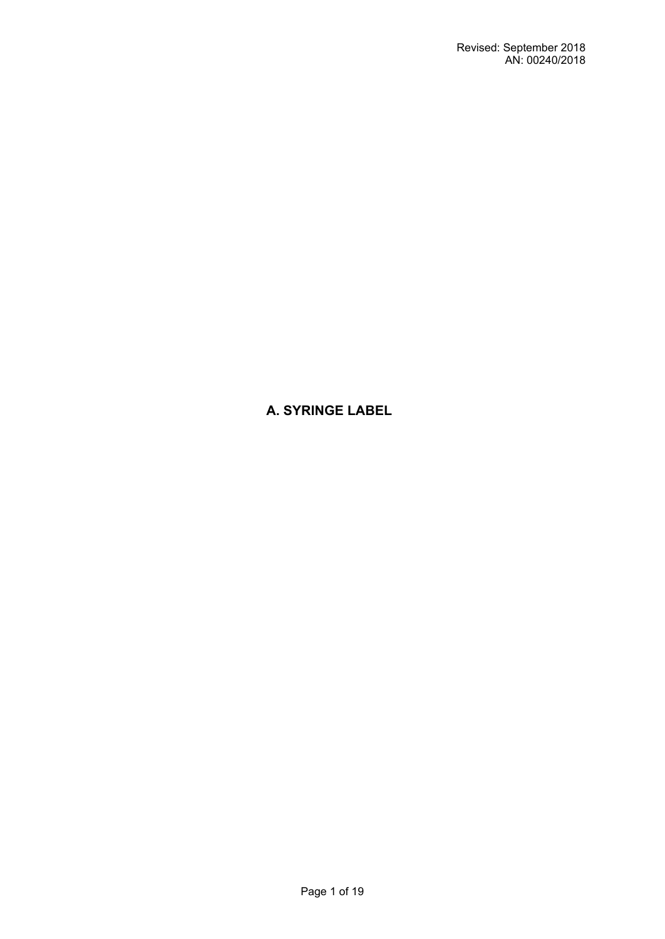**A. SYRINGE LABEL**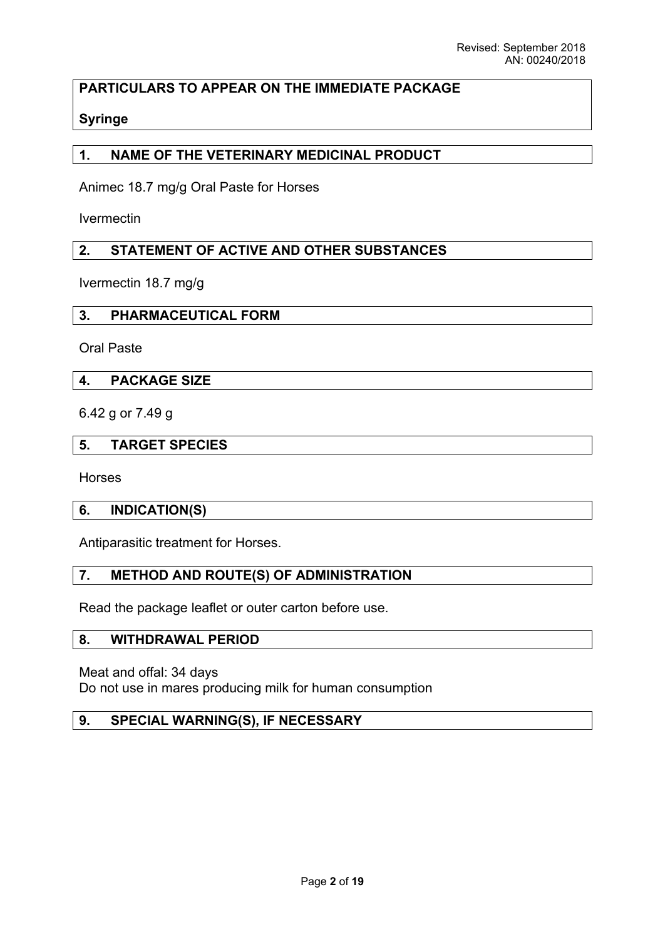# **PARTICULARS TO APPEAR ON THE IMMEDIATE PACKAGE**

# **Syringe**

# **1. NAME OF THE VETERINARY MEDICINAL PRODUCT**

Animec 18.7 mg/g Oral Paste for Horses

Ivermectin

# **2. STATEMENT OF ACTIVE AND OTHER SUBSTANCES**

Ivermectin 18.7 mg/g

#### **3. PHARMACEUTICAL FORM**

Oral Paste

#### **4. PACKAGE SIZE**

6.42 g or 7.49 g

#### **5. TARGET SPECIES**

Horses

#### **6. INDICATION(S)**

Antiparasitic treatment for Horses.

## **7. METHOD AND ROUTE(S) OF ADMINISTRATION**

Read the package leaflet or outer carton before use.

#### **8. WITHDRAWAL PERIOD**

Meat and offal: 34 days Do not use in mares producing milk for human consumption

## **9. SPECIAL WARNING(S), IF NECESSARY**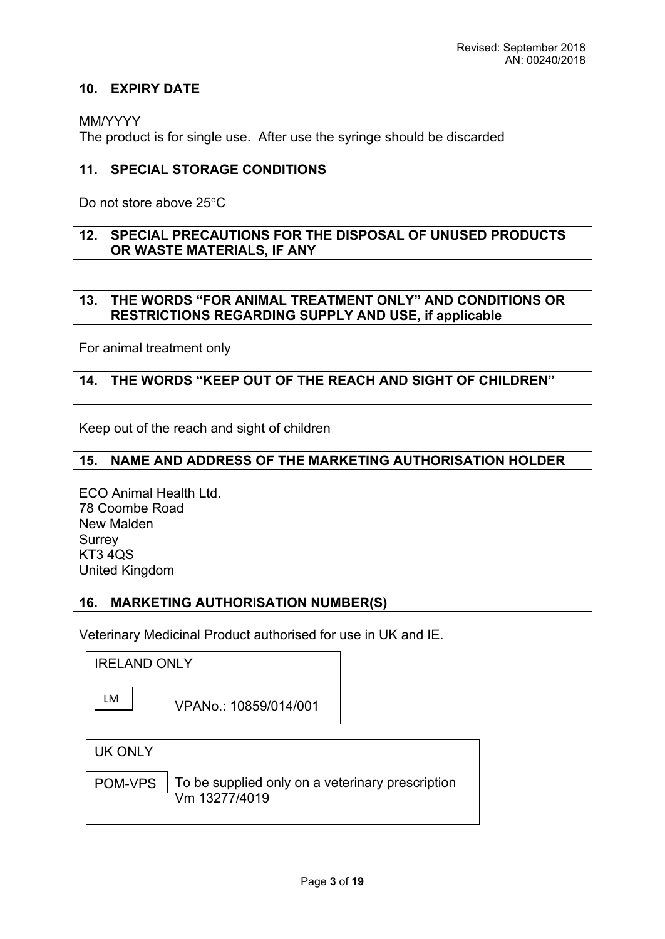## **10. EXPIRY DATE**

## MM/YYYY

The product is for single use. After use the syringe should be discarded

# **11. SPECIAL STORAGE CONDITIONS**

Do not store above 25°C

## **12. SPECIAL PRECAUTIONS FOR THE DISPOSAL OF UNUSED PRODUCTS OR WASTE MATERIALS, IF ANY**

# **13. THE WORDS "FOR ANIMAL TREATMENT ONLY" AND CONDITIONS OR RESTRICTIONS REGARDING SUPPLY AND USE, if applicable**

For animal treatment only

# **14. THE WORDS "KEEP OUT OF THE REACH AND SIGHT OF CHILDREN"**

Keep out of the reach and sight of children

## **15. NAME AND ADDRESS OF THE MARKETING AUTHORISATION HOLDER**

ECO Animal Health Ltd. 78 Coombe Road New Malden Surrey KT3 4QS United Kingdom

## **16. MARKETING AUTHORISATION NUMBER(S)**

Veterinary Medicinal Product authorised for use in UK and IE.

IRELAND ONLY

|--|

LM VPANo.: 10859/014/001

|  | <b>UK ONLY</b> |
|--|----------------|
|--|----------------|

POM-VPS

To be supplied only on a veterinary prescription Vm 13277/4019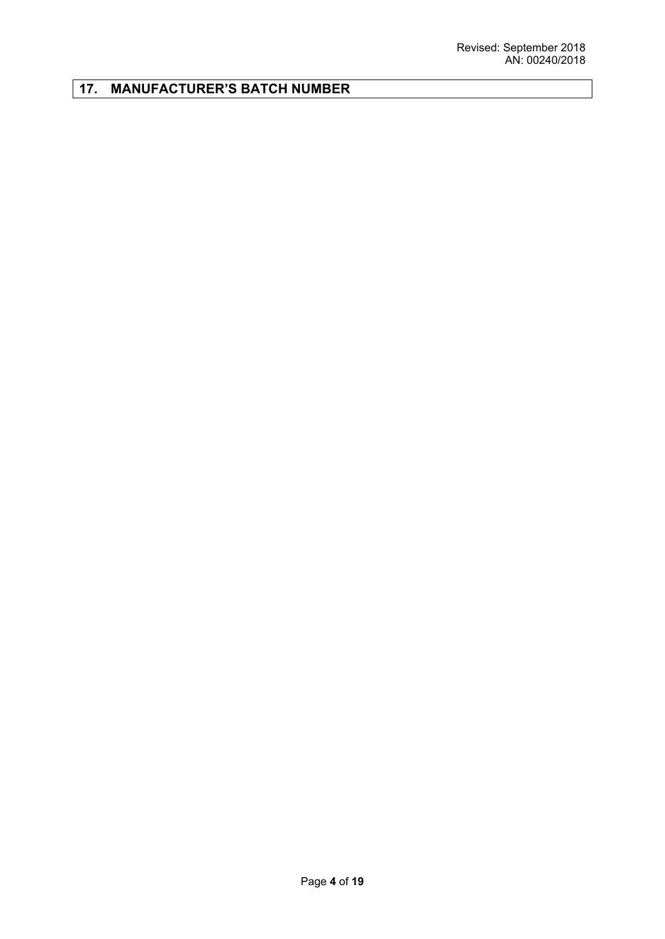# **17. MANUFACTURER'S BATCH NUMBER**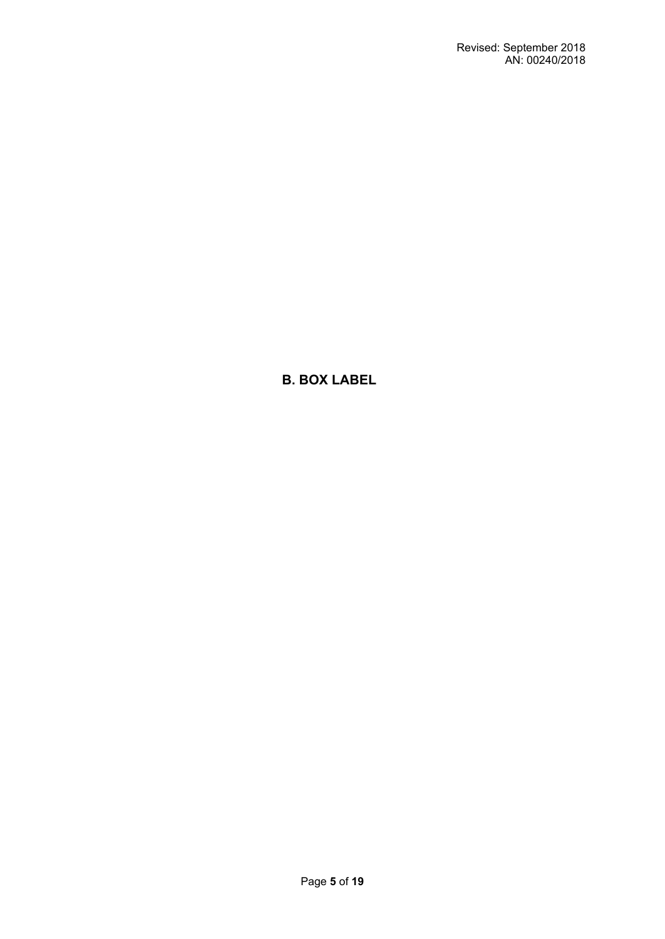**B. BOX LABEL**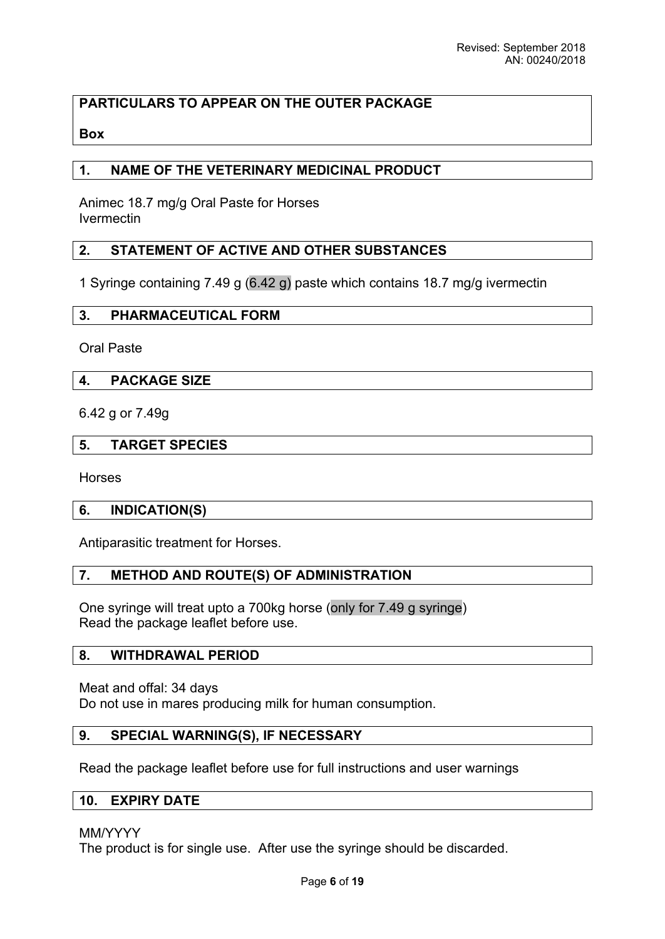# **PARTICULARS TO APPEAR ON THE OUTER PACKAGE**

## **Box**

## **1. NAME OF THE VETERINARY MEDICINAL PRODUCT**

Animec 18.7 mg/g Oral Paste for Horses Ivermectin

# **2. STATEMENT OF ACTIVE AND OTHER SUBSTANCES**

1 Syringe containing 7.49 g (6.42 g) paste which contains 18.7 mg/g ivermectin

## **3. PHARMACEUTICAL FORM**

Oral Paste

## **4. PACKAGE SIZE**

6.42 g or 7.49g

## **5. TARGET SPECIES**

Horses

#### **6. INDICATION(S)**

Antiparasitic treatment for Horses.

## **7. METHOD AND ROUTE(S) OF ADMINISTRATION**

One syringe will treat upto a 700kg horse (only for 7.49 g syringe) Read the package leaflet before use.

#### **8. WITHDRAWAL PERIOD**

Meat and offal: 34 days Do not use in mares producing milk for human consumption.

#### **9. SPECIAL WARNING(S), IF NECESSARY**

Read the package leaflet before use for full instructions and user warnings

# **10. EXPIRY DATE**

#### MM/YYYY

The product is for single use. After use the syringe should be discarded.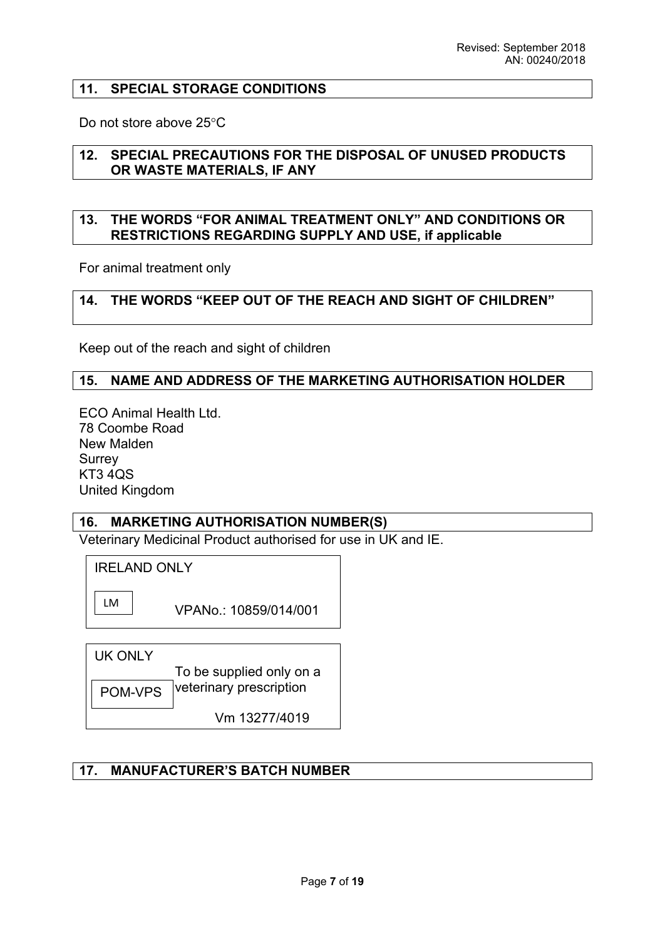#### **11. SPECIAL STORAGE CONDITIONS**

Do not store above 25°C

#### **12. SPECIAL PRECAUTIONS FOR THE DISPOSAL OF UNUSED PRODUCTS OR WASTE MATERIALS, IF ANY**

#### **13. THE WORDS "FOR ANIMAL TREATMENT ONLY" AND CONDITIONS OR RESTRICTIONS REGARDING SUPPLY AND USE, if applicable**

For animal treatment only

## **14. THE WORDS "KEEP OUT OF THE REACH AND SIGHT OF CHILDREN"**

Keep out of the reach and sight of children

#### **15. NAME AND ADDRESS OF THE MARKETING AUTHORISATION HOLDER**

ECO Animal Health Ltd. 78 Coombe Road New Malden **Surrey** KT3 4QS United Kingdom

#### **16. MARKETING AUTHORISATION NUMBER(S)**

Veterinary Medicinal Product authorised for use in UK and IE.

IRELAND ONLY

LM

VPANo.: 10859/014/001

| UK ONI Y |                          |
|----------|--------------------------|
|          | To be supplied only on a |
| POM-VPS  | veterinary prescription  |
|          | Vm 13277/4019            |

# **17. MANUFACTURER'S BATCH NUMBER**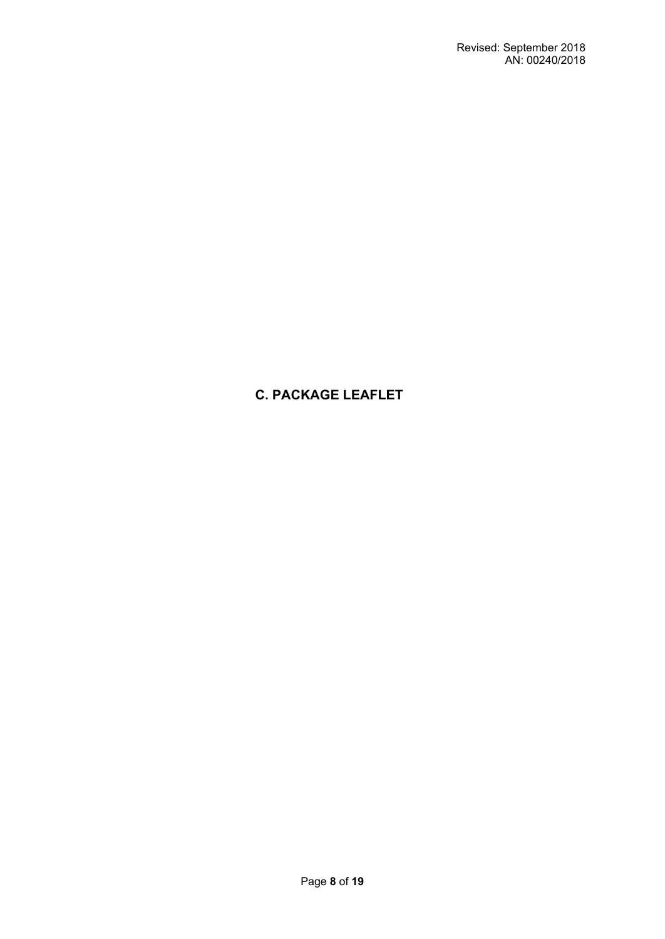# **C. PACKAGE LEAFLET**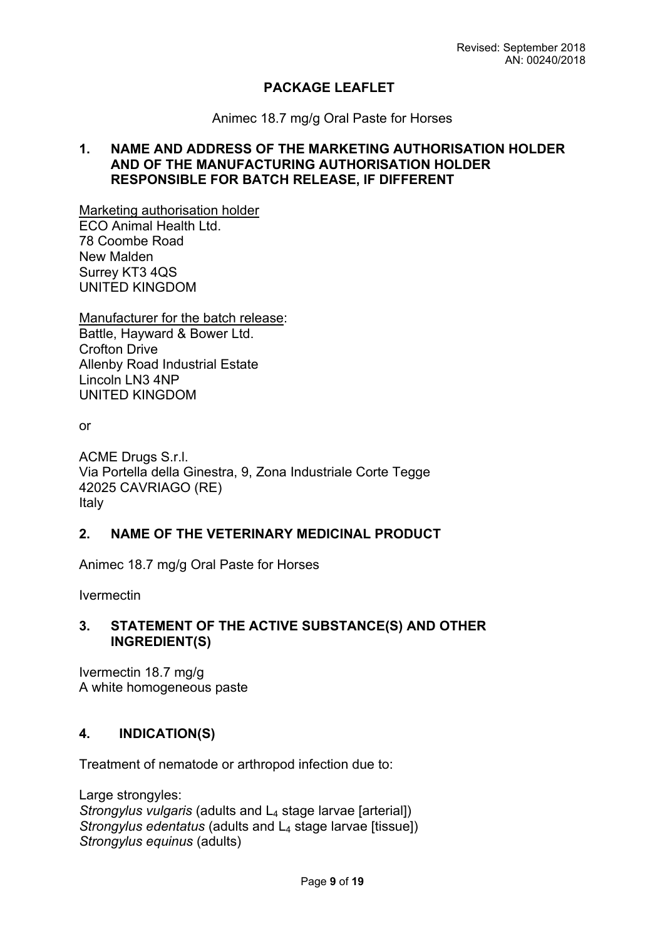# **PACKAGE LEAFLET**

Animec 18.7 mg/g Oral Paste for Horses

## **1. NAME AND ADDRESS OF THE MARKETING AUTHORISATION HOLDER AND OF THE MANUFACTURING AUTHORISATION HOLDER RESPONSIBLE FOR BATCH RELEASE, IF DIFFERENT**

Marketing authorisation holder ECO Animal Health Ltd. 78 Coombe Road

New Malden Surrey KT3 4QS UNITED KINGDOM

Manufacturer for the batch release: Battle, Hayward & Bower Ltd. Crofton Drive Allenby Road Industrial Estate Lincoln LN3 4NP UNITED KINGDOM

or

ACME Drugs S.r.l. Via Portella della Ginestra, 9, Zona Industriale Corte Tegge 42025 CAVRIAGO (RE) Italy

## **2. NAME OF THE VETERINARY MEDICINAL PRODUCT**

Animec 18.7 mg/g Oral Paste for Horses

Ivermectin

# **3. STATEMENT OF THE ACTIVE SUBSTANCE(S) AND OTHER INGREDIENT(S)**

Ivermectin 18.7 mg/g A white homogeneous paste

# **4. INDICATION(S)**

Treatment of nematode or arthropod infection due to:

Large strongyles: *Strongylus vulgaris* (adults and L<sub>4</sub> stage larvae [arterial]) *Strongylus edentatus* (adults and L<sub>4</sub> stage larvae [tissue]) *Strongylus equinus* (adults)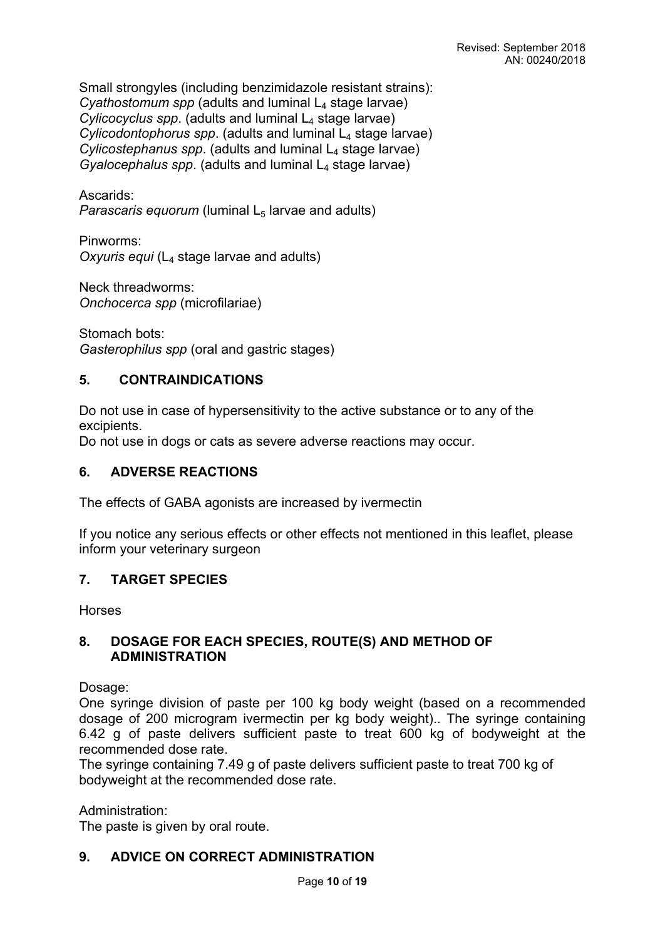Small strongyles (including benzimidazole resistant strains): *Cyathostomum spp (adults and luminal L<sub>4</sub> stage larvae)*  $Cylicocvclus$  spp. (adults and luminal  $L_4$  stage larvae) *Cylicodontophorus spp.* (adults and luminal L<sub>4</sub> stage larvae) *Cylicostephanus spp.* (adults and luminal L<sub>4</sub> stage larvae) *Gyalocephalus spp.* (adults and luminal L<sub>4</sub> stage larvae)

Ascarids:

*Parascaris equorum* (luminal  $L_5$  larvae and adults)

Pinworms: *Oxyuris equi* (L4 stage larvae and adults)

Neck threadworms: *Onchocerca spp* (microfilariae)

Stomach bots: *Gasterophilus spp* (oral and gastric stages)

# **5. CONTRAINDICATIONS**

Do not use in case of hypersensitivity to the active substance or to any of the excipients.

Do not use in dogs or cats as severe adverse reactions may occur.

## **6. ADVERSE REACTIONS**

The effects of GABA agonists are increased by ivermectin

If you notice any serious effects or other effects not mentioned in this leaflet, please inform your veterinary surgeon

# **7. TARGET SPECIES**

Horses

## **8. DOSAGE FOR EACH SPECIES, ROUTE(S) AND METHOD OF ADMINISTRATION**

Dosage:

One syringe division of paste per 100 kg body weight (based on a recommended dosage of 200 microgram ivermectin per kg body weight).. The syringe containing 6.42 g of paste delivers sufficient paste to treat 600 kg of bodyweight at the recommended dose rate.

The syringe containing 7.49 g of paste delivers sufficient paste to treat 700 kg of bodyweight at the recommended dose rate.

Administration:

The paste is given by oral route.

# **9. ADVICE ON CORRECT ADMINISTRATION**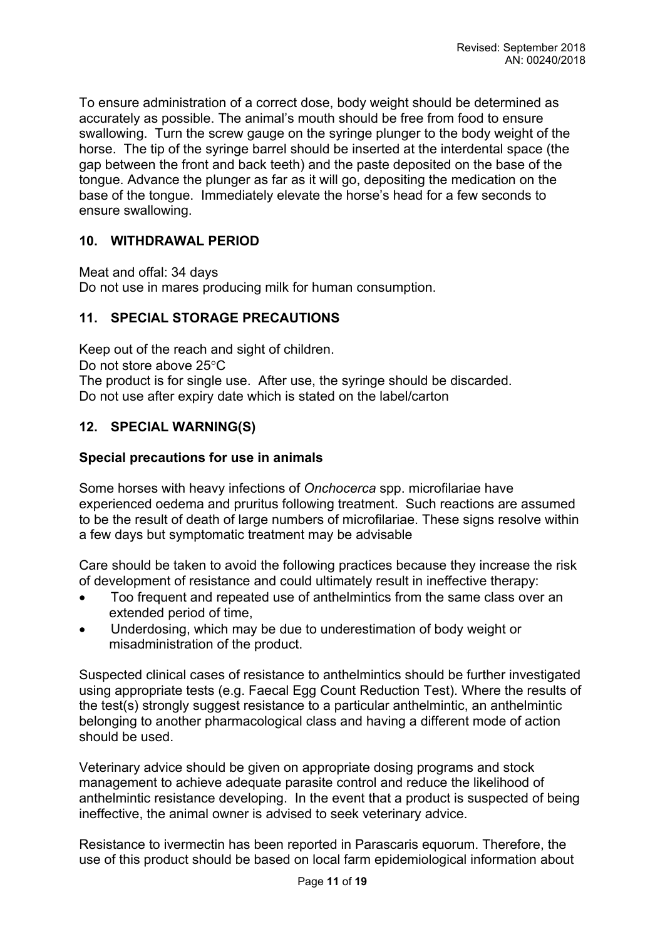To ensure administration of a correct dose, body weight should be determined as accurately as possible. The animal's mouth should be free from food to ensure swallowing. Turn the screw gauge on the syringe plunger to the body weight of the horse. The tip of the syringe barrel should be inserted at the interdental space (the gap between the front and back teeth) and the paste deposited on the base of the tongue. Advance the plunger as far as it will go, depositing the medication on the base of the tongue. Immediately elevate the horse's head for a few seconds to ensure swallowing.

# **10. WITHDRAWAL PERIOD**

Meat and offal: 34 days Do not use in mares producing milk for human consumption.

## **11. SPECIAL STORAGE PRECAUTIONS**

Keep out of the reach and sight of children. Do not store above  $25^{\circ}$ C The product is for single use. After use, the syringe should be discarded. Do not use after expiry date which is stated on the label/carton

## **12. SPECIAL WARNING(S)**

## **Special precautions for use in animals**

Some horses with heavy infections of *Onchocerca* spp. microfilariae have experienced oedema and pruritus following treatment. Such reactions are assumed to be the result of death of large numbers of microfilariae. These signs resolve within a few days but symptomatic treatment may be advisable

Care should be taken to avoid the following practices because they increase the risk of development of resistance and could ultimately result in ineffective therapy:

- Too frequent and repeated use of anthelmintics from the same class over an extended period of time,
- Underdosing, which may be due to underestimation of body weight or misadministration of the product.

Suspected clinical cases of resistance to anthelmintics should be further investigated using appropriate tests (e.g. Faecal Egg Count Reduction Test). Where the results of the test(s) strongly suggest resistance to a particular anthelmintic, an anthelmintic belonging to another pharmacological class and having a different mode of action should be used.

Veterinary advice should be given on appropriate dosing programs and stock management to achieve adequate parasite control and reduce the likelihood of anthelmintic resistance developing. In the event that a product is suspected of being ineffective, the animal owner is advised to seek veterinary advice.

Resistance to ivermectin has been reported in Parascaris equorum. Therefore, the use of this product should be based on local farm epidemiological information about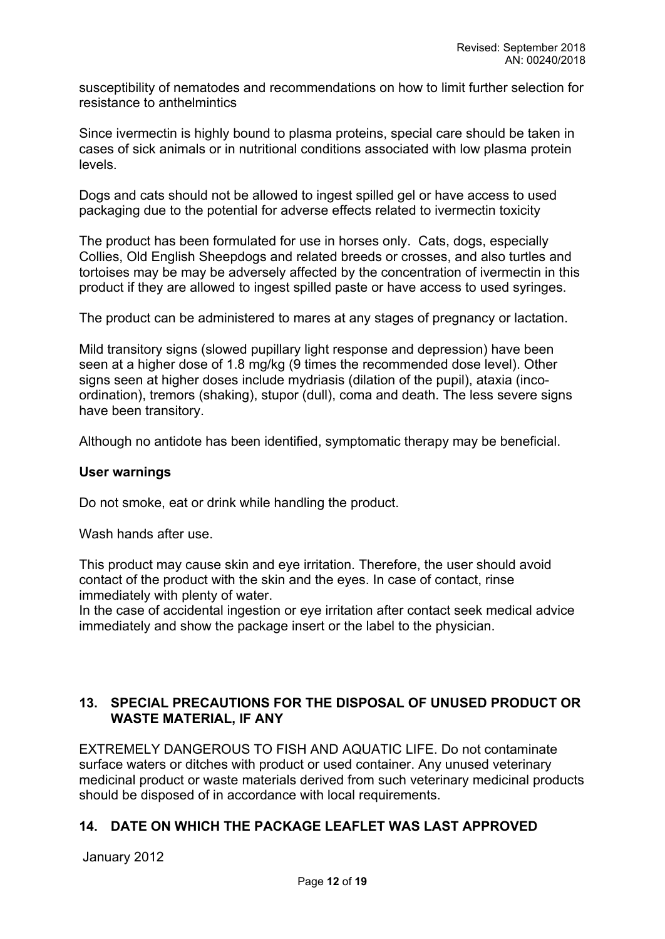susceptibility of nematodes and recommendations on how to limit further selection for resistance to anthelmintics

Since ivermectin is highly bound to plasma proteins, special care should be taken in cases of sick animals or in nutritional conditions associated with low plasma protein levels.

Dogs and cats should not be allowed to ingest spilled gel or have access to used packaging due to the potential for adverse effects related to ivermectin toxicity

The product has been formulated for use in horses only. Cats, dogs, especially Collies, Old English Sheepdogs and related breeds or crosses, and also turtles and tortoises may be may be adversely affected by the concentration of ivermectin in this product if they are allowed to ingest spilled paste or have access to used syringes.

The product can be administered to mares at any stages of pregnancy or lactation.

Mild transitory signs (slowed pupillary light response and depression) have been seen at a higher dose of 1.8 mg/kg (9 times the recommended dose level). Other signs seen at higher doses include mydriasis (dilation of the pupil), ataxia (incoordination), tremors (shaking), stupor (dull), coma and death. The less severe signs have been transitory.

Although no antidote has been identified, symptomatic therapy may be beneficial.

#### **User warnings**

Do not smoke, eat or drink while handling the product.

Wash hands after use.

This product may cause skin and eye irritation. Therefore, the user should avoid contact of the product with the skin and the eyes. In case of contact, rinse immediately with plenty of water.

In the case of accidental ingestion or eye irritation after contact seek medical advice immediately and show the package insert or the label to the physician.

# **13. SPECIAL PRECAUTIONS FOR THE DISPOSAL OF UNUSED PRODUCT OR WASTE MATERIAL, IF ANY**

EXTREMELY DANGEROUS TO FISH AND AQUATIC LIFE. Do not contaminate surface waters or ditches with product or used container. Any unused veterinary medicinal product or waste materials derived from such veterinary medicinal products should be disposed of in accordance with local requirements.

# **14. DATE ON WHICH THE PACKAGE LEAFLET WAS LAST APPROVED**

January 2012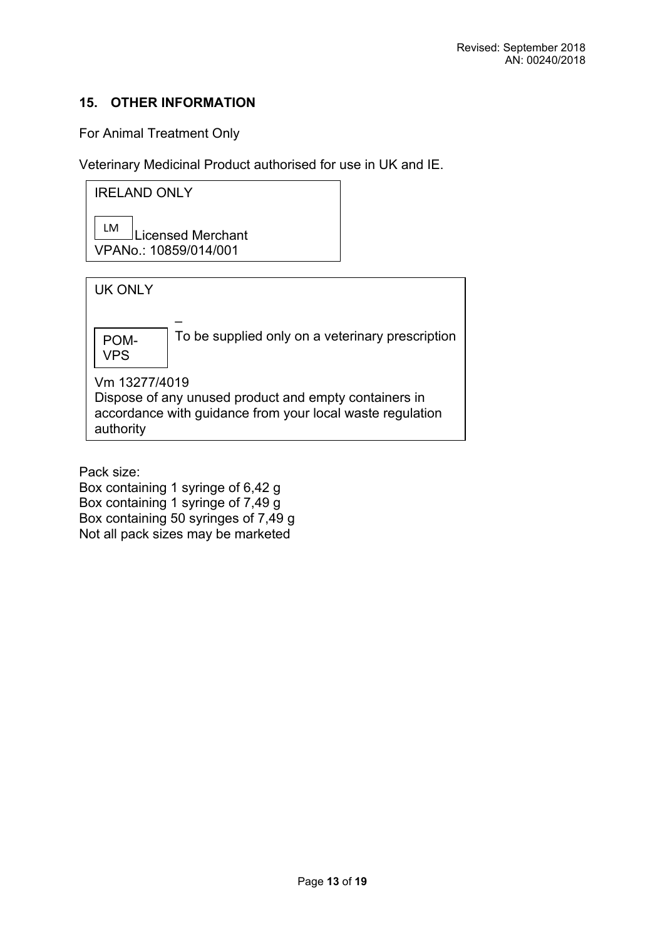# **15. OTHER INFORMATION**

For Animal Treatment Only

Veterinary Medicinal Product authorised for use in UK and IE.

IRELAND ONLY

LM Licensed Merchant VPANo.: 10859/014/001

UK ONLY – To be supplied only on a veterinary prescription Vm 13277/4019 Dispose of any unused product and empty containers in accordance with guidance from your local waste regulation authority POM-VPS

Pack size:

Box containing 1 syringe of 6,42 g Box containing 1 syringe of 7,49 g Box containing 50 syringes of 7,49 g Not all pack sizes may be marketed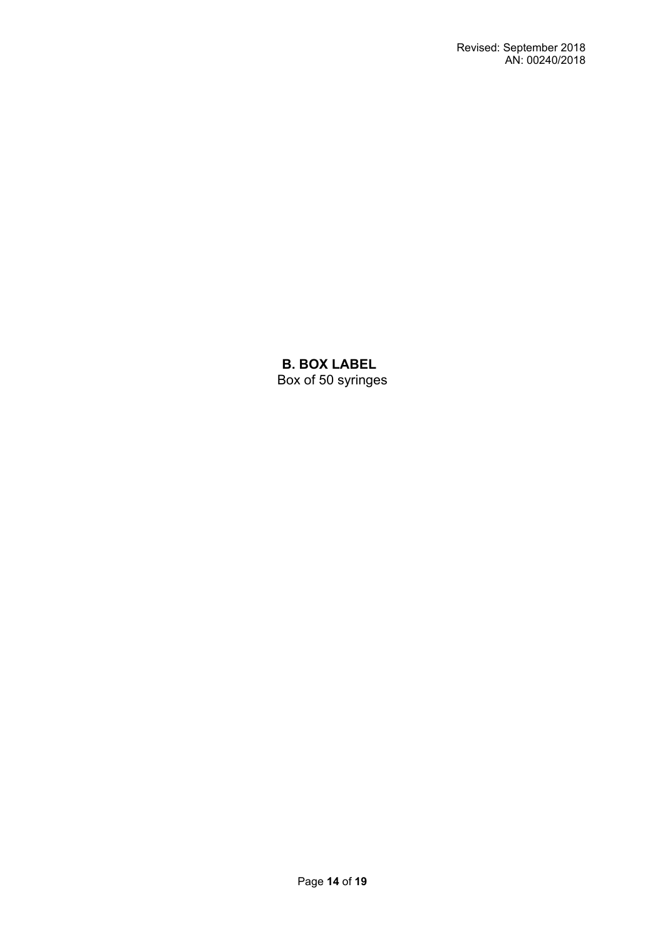**B. BOX LABEL** Box of 50 syringes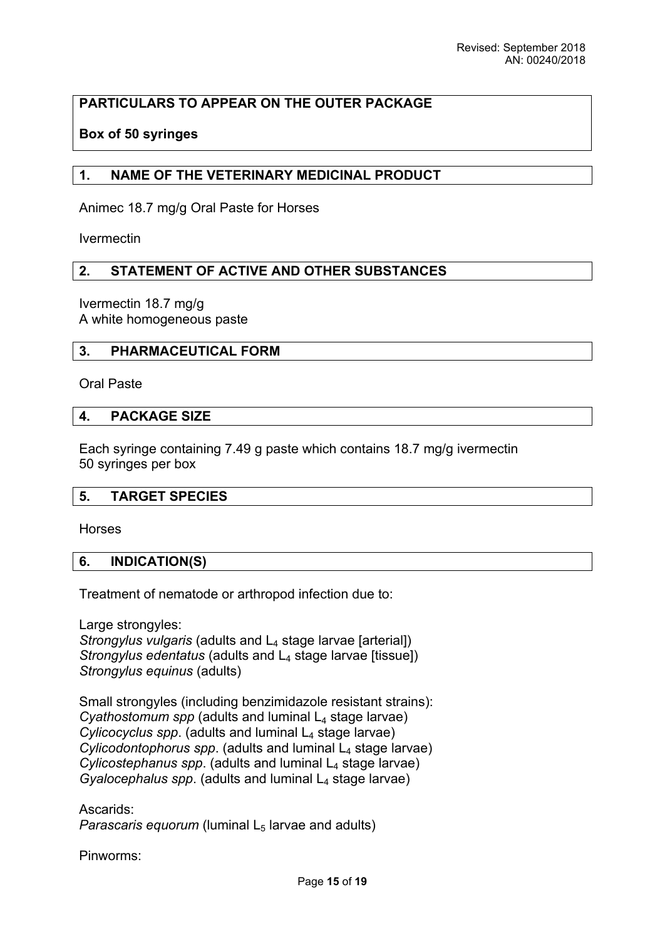# **PARTICULARS TO APPEAR ON THE OUTER PACKAGE**

## **Box of 50 syringes**

## **1. NAME OF THE VETERINARY MEDICINAL PRODUCT**

Animec 18.7 mg/g Oral Paste for Horses

Ivermectin

#### **2. STATEMENT OF ACTIVE AND OTHER SUBSTANCES**

Ivermectin 18.7 mg/g A white homogeneous paste

#### **3. PHARMACEUTICAL FORM**

Oral Paste

#### **4. PACKAGE SIZE**

Each syringe containing 7.49 g paste which contains 18.7 mg/g ivermectin 50 syringes per box

#### **5. TARGET SPECIES**

Horses

#### **6. INDICATION(S)**

Treatment of nematode or arthropod infection due to:

Large strongyles:

*Strongylus vulgaris* (adults and L<sub>4</sub> stage larvae [arterial]) *Strongylus edentatus* (adults and L<sub>4</sub> stage larvae [tissue]) *Strongylus equinus* (adults)

Small strongyles (including benzimidazole resistant strains):  $C$ *yathostomum spp* (adults and luminal  $L_4$  stage larvae) Cylicocyclus spp. (adults and luminal L<sub>4</sub> stage larvae) *Cylicodontophorus spp.* (adults and luminal L<sub>4</sub> stage larvae) *Cylicostephanus spp*. (adults and luminal L4 stage larvae) *Gyalocephalus spp.* (adults and luminal L<sub>4</sub> stage larvae)

Ascarids: *Parascaris equorum* (luminal L<sub>5</sub> larvae and adults)

Pinworms: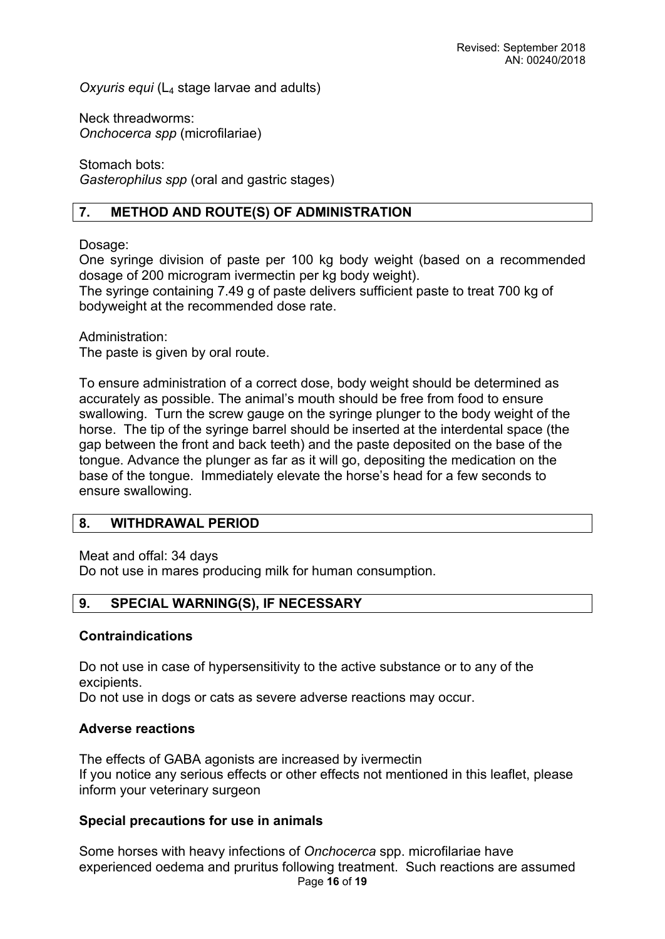*Oxyuris equi* (L4 stage larvae and adults)

Neck threadworms: *Onchocerca spp* (microfilariae)

Stomach bots: *Gasterophilus spp* (oral and gastric stages)

# **7. METHOD AND ROUTE(S) OF ADMINISTRATION**

# Dosage:

One syringe division of paste per 100 kg body weight (based on a recommended dosage of 200 microgram ivermectin per kg body weight).

The syringe containing 7.49 g of paste delivers sufficient paste to treat 700 kg of bodyweight at the recommended dose rate.

Administration: The paste is given by oral route.

To ensure administration of a correct dose, body weight should be determined as accurately as possible. The animal's mouth should be free from food to ensure swallowing. Turn the screw gauge on the syringe plunger to the body weight of the horse. The tip of the syringe barrel should be inserted at the interdental space (the gap between the front and back teeth) and the paste deposited on the base of the tongue. Advance the plunger as far as it will go, depositing the medication on the base of the tongue. Immediately elevate the horse's head for a few seconds to ensure swallowing.

## **8. WITHDRAWAL PERIOD**

Meat and offal: 34 days

Do not use in mares producing milk for human consumption.

# **9. SPECIAL WARNING(S), IF NECESSARY**

## **Contraindications**

Do not use in case of hypersensitivity to the active substance or to any of the excipients.

Do not use in dogs or cats as severe adverse reactions may occur.

## **Adverse reactions**

The effects of GABA agonists are increased by ivermectin If you notice any serious effects or other effects not mentioned in this leaflet, please inform your veterinary surgeon

# **Special precautions for use in animals**

Page **16** of **19** Some horses with heavy infections of *Onchocerca* spp. microfilariae have experienced oedema and pruritus following treatment. Such reactions are assumed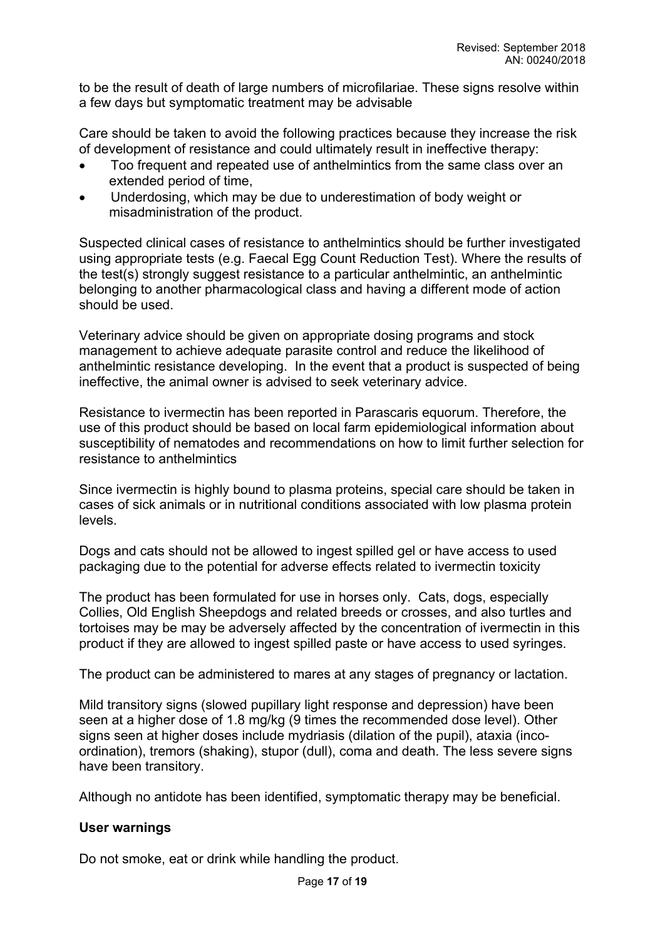to be the result of death of large numbers of microfilariae. These signs resolve within a few days but symptomatic treatment may be advisable

Care should be taken to avoid the following practices because they increase the risk of development of resistance and could ultimately result in ineffective therapy:

- Too frequent and repeated use of anthelmintics from the same class over an extended period of time,
- Underdosing, which may be due to underestimation of body weight or misadministration of the product.

Suspected clinical cases of resistance to anthelmintics should be further investigated using appropriate tests (e.g. Faecal Egg Count Reduction Test). Where the results of the test(s) strongly suggest resistance to a particular anthelmintic, an anthelmintic belonging to another pharmacological class and having a different mode of action should be used.

Veterinary advice should be given on appropriate dosing programs and stock management to achieve adequate parasite control and reduce the likelihood of anthelmintic resistance developing. In the event that a product is suspected of being ineffective, the animal owner is advised to seek veterinary advice.

Resistance to ivermectin has been reported in Parascaris equorum. Therefore, the use of this product should be based on local farm epidemiological information about susceptibility of nematodes and recommendations on how to limit further selection for resistance to anthelmintics

Since ivermectin is highly bound to plasma proteins, special care should be taken in cases of sick animals or in nutritional conditions associated with low plasma protein levels.

Dogs and cats should not be allowed to ingest spilled gel or have access to used packaging due to the potential for adverse effects related to ivermectin toxicity

The product has been formulated for use in horses only. Cats, dogs, especially Collies, Old English Sheepdogs and related breeds or crosses, and also turtles and tortoises may be may be adversely affected by the concentration of ivermectin in this product if they are allowed to ingest spilled paste or have access to used syringes.

The product can be administered to mares at any stages of pregnancy or lactation.

Mild transitory signs (slowed pupillary light response and depression) have been seen at a higher dose of 1.8 mg/kg (9 times the recommended dose level). Other signs seen at higher doses include mydriasis (dilation of the pupil), ataxia (incoordination), tremors (shaking), stupor (dull), coma and death. The less severe signs have been transitory.

Although no antidote has been identified, symptomatic therapy may be beneficial.

# **User warnings**

Do not smoke, eat or drink while handling the product.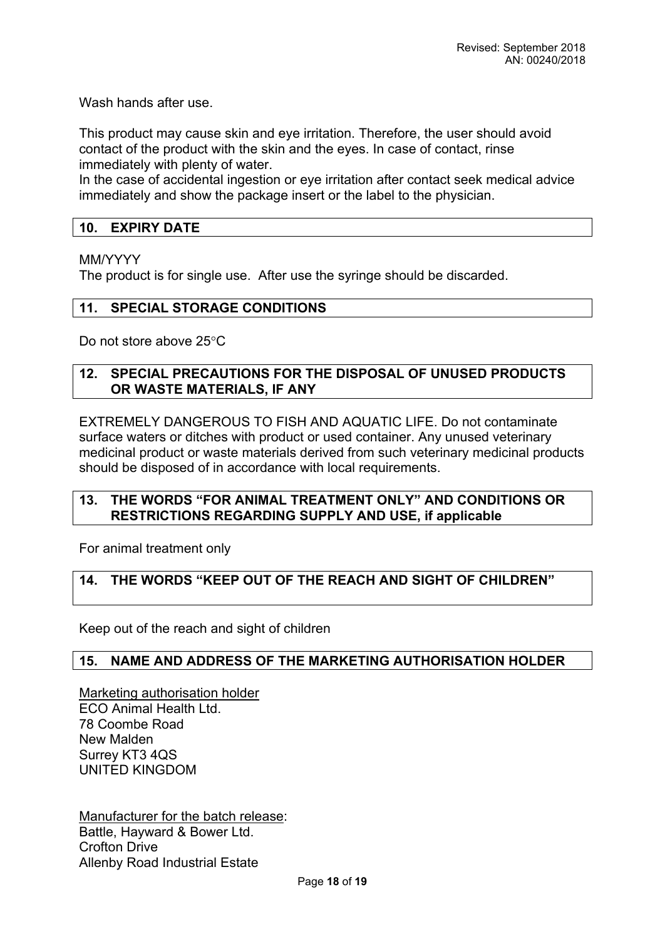Wash hands after use.

This product may cause skin and eye irritation. Therefore, the user should avoid contact of the product with the skin and the eyes. In case of contact, rinse immediately with plenty of water.

In the case of accidental ingestion or eye irritation after contact seek medical advice immediately and show the package insert or the label to the physician.

## **10. EXPIRY DATE**

#### MM/YYYY

The product is for single use. After use the syringe should be discarded.

#### **11. SPECIAL STORAGE CONDITIONS**

Do not store above 25°C

#### **12. SPECIAL PRECAUTIONS FOR THE DISPOSAL OF UNUSED PRODUCTS OR WASTE MATERIALS, IF ANY**

EXTREMELY DANGEROUS TO FISH AND AQUATIC LIFE. Do not contaminate surface waters or ditches with product or used container. Any unused veterinary medicinal product or waste materials derived from such veterinary medicinal products should be disposed of in accordance with local requirements.

## **13. THE WORDS "FOR ANIMAL TREATMENT ONLY" AND CONDITIONS OR RESTRICTIONS REGARDING SUPPLY AND USE, if applicable**

For animal treatment only

## **14. THE WORDS "KEEP OUT OF THE REACH AND SIGHT OF CHILDREN"**

Keep out of the reach and sight of children

#### **15. NAME AND ADDRESS OF THE MARKETING AUTHORISATION HOLDER**

Marketing authorisation holder ECO Animal Health Ltd. 78 Coombe Road New Malden Surrey KT3 4QS UNITED KINGDOM

Manufacturer for the batch release: Battle, Hayward & Bower Ltd. Crofton Drive Allenby Road Industrial Estate